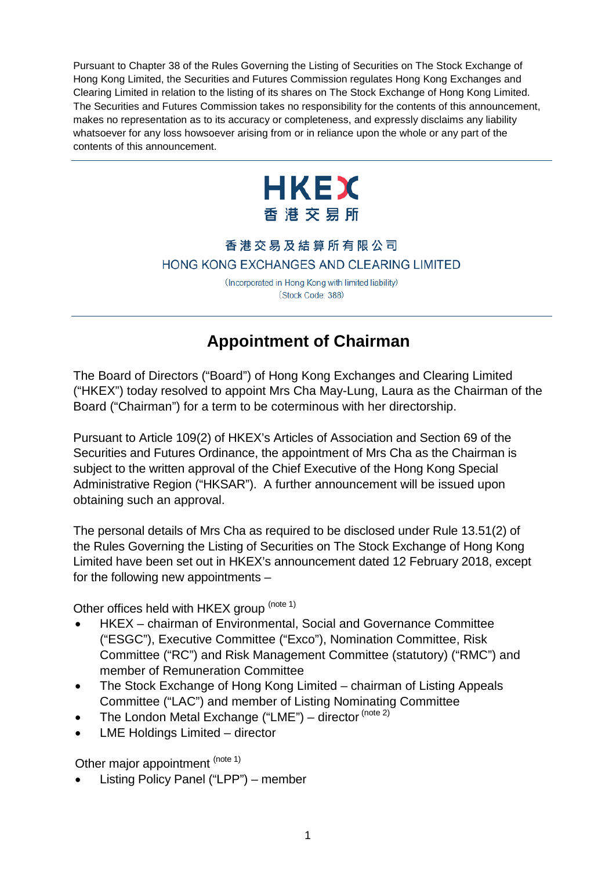Pursuant to Chapter 38 of the Rules Governing the Listing of Securities on The Stock Exchange of Hong Kong Limited, the Securities and Futures Commission regulates Hong Kong Exchanges and Clearing Limited in relation to the listing of its shares on The Stock Exchange of Hong Kong Limited. The Securities and Futures Commission takes no responsibility for the contents of this announcement, makes no representation as to its accuracy or completeness, and expressly disclaims any liability whatsoever for any loss howsoever arising from or in reliance upon the whole or any part of the contents of this announcement.



## 香港交易及結算所有限公司 HONG KONG EXCHANGES AND CLEARING LIMITED

(Incorporated in Hong Kong with limited liability) (Stock Code: 388)

## **Appointment of Chairman**

The Board of Directors ("Board") of Hong Kong Exchanges and Clearing Limited ("HKEX") today resolved to appoint Mrs Cha May-Lung, Laura as the Chairman of the Board ("Chairman") for a term to be coterminous with her directorship.

Pursuant to Article 109(2) of HKEX's Articles of Association and Section 69 of the Securities and Futures Ordinance, the appointment of Mrs Cha as the Chairman is subject to the written approval of the Chief Executive of the Hong Kong Special Administrative Region ("HKSAR"). A further announcement will be issued upon obtaining such an approval.

The personal details of Mrs Cha as required to be disclosed under Rule 13.51(2) of the Rules Governing the Listing of Securities on The Stock Exchange of Hong Kong Limited have been set out in HKEX's announcement dated 12 February 2018, except for the following new appointments –

Other offices held with HKEX group (note 1)

- HKEX chairman of Environmental, Social and Governance Committee ("ESGC"), Executive Committee ("Exco"), Nomination Committee, Risk Committee ("RC") and Risk Management Committee (statutory) ("RMC") and member of Remuneration Committee
- The Stock Exchange of Hong Kong Limited chairman of Listing Appeals Committee ("LAC") and member of Listing Nominating Committee
- The London Metal Exchange ("LME") director (note 2)
- LME Holdings Limited director

Other major appointment (note 1)

• Listing Policy Panel ("LPP") – member